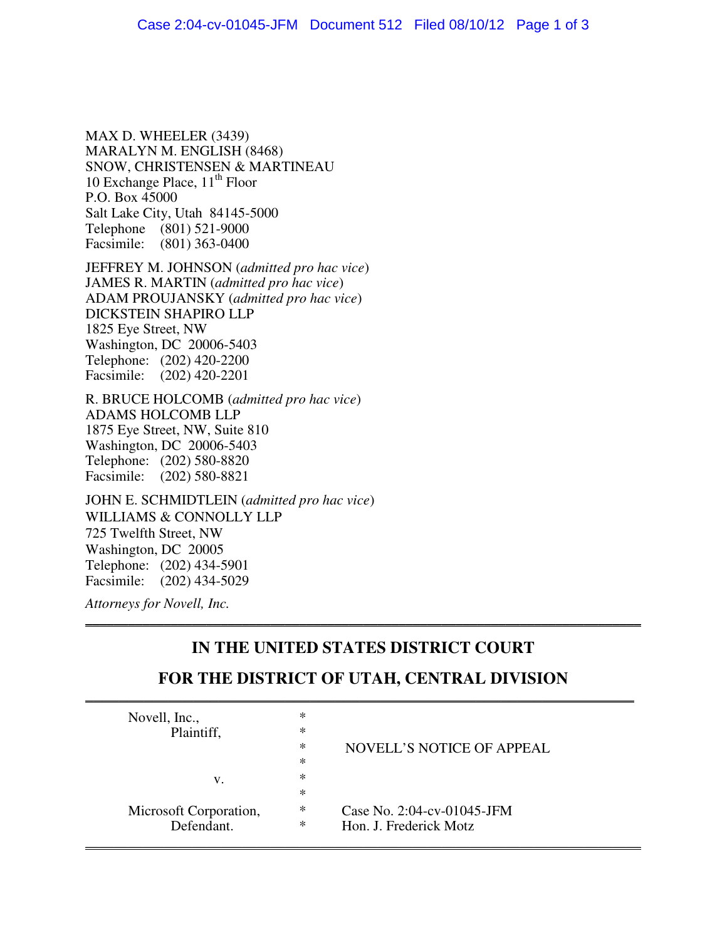MAX D. WHEELER (3439) MARALYN M. ENGLISH (8468) SNOW, CHRISTENSEN & MARTINEAU 10 Exchange Place,  $11<sup>th</sup>$  Floor P.O. Box 45000 Salt Lake City, Utah 84145-5000 Telephone (801) 521-9000 Facsimile: (801) 363-0400

JEFFREY M. JOHNSON (*admitted pro hac vice*) JAMES R. MARTIN (*admitted pro hac vice*) ADAM PROUJANSKY (*admitted pro hac vice*) DICKSTEIN SHAPIRO LLP 1825 Eye Street, NW Washington, DC 20006-5403 Telephone: (202) 420-2200 Facsimile: (202) 420-2201

R. BRUCE HOLCOMB (*admitted pro hac vice*) ADAMS HOLCOMB LLP 1875 Eye Street, NW, Suite 810 Washington, DC 20006-5403 Telephone: (202) 580-8820 Facsimile: (202) 580-8821

JOHN E. SCHMIDTLEIN (*admitted pro hac vice*) WILLIAMS & CONNOLLY LLP 725 Twelfth Street, NW Washington, DC 20005 Telephone: (202) 434-5901 Facsimile: (202) 434-5029

*Attorneys for Novell, Inc.*

# **IN THE UNITED STATES DISTRICT COURT**

\_\_\_\_\_\_\_\_\_\_\_\_\_\_\_\_\_\_\_\_\_\_\_\_\_\_\_\_\_\_\_\_\_\_\_\_\_\_\_\_\_\_\_\_\_\_\_\_\_\_\_\_\_\_\_\_\_\_\_\_\_\_\_\_\_\_\_\_\_\_\_\_\_\_\_\_\_\_

## **FOR THE DISTRICT OF UTAH, CENTRAL DIVISION**  $\overline{\phantom{a}}$  , and the contract of the contract of the contract of the contract of the contract of the contract of the contract of the contract of the contract of the contract of the contract of the contract of the contrac

| Novell, Inc.,<br>Plaintiff,<br>v. | ∗<br>∗<br>∗<br>∗<br>∗<br>∗ | NOVELL'S NOTICE OF APPEAL     |
|-----------------------------------|----------------------------|-------------------------------|
| Microsoft Corporation,            | ∗                          | Case No. $2:04$ -cv-01045-JFM |
| Defendant.                        | ∗                          | Hon. J. Frederick Motz        |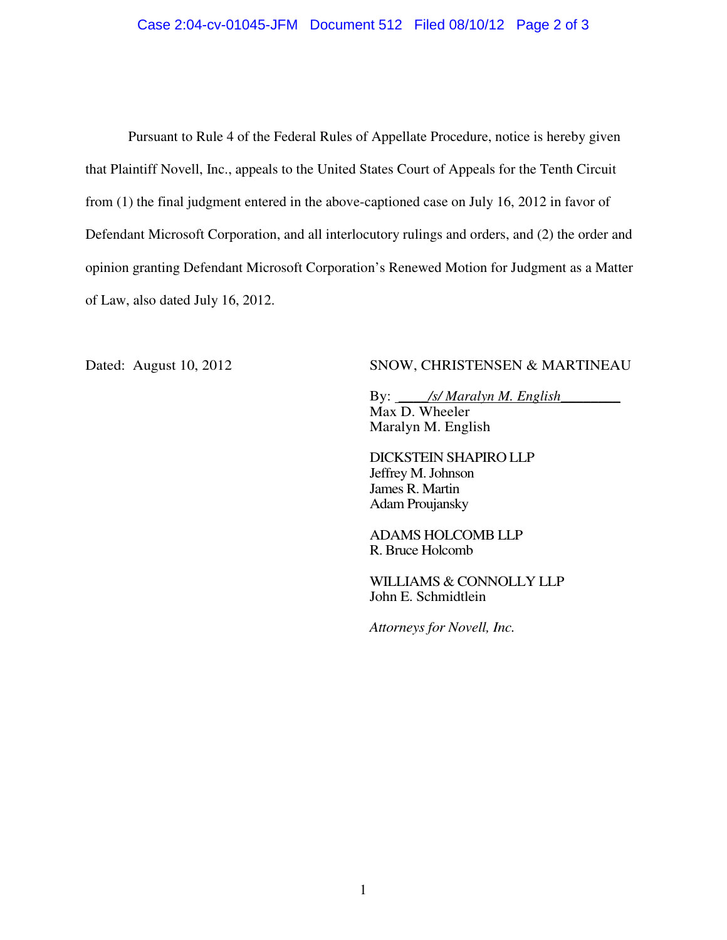#### Case 2:04-cv-01045-JFM Document 512 Filed 08/10/12 Page 2 of 3

Pursuant to Rule 4 of the Federal Rules of Appellate Procedure, notice is hereby given that Plaintiff Novell, Inc., appeals to the United States Court of Appeals for the Tenth Circuit from (1) the final judgment entered in the above-captioned case on July 16, 2012 in favor of Defendant Microsoft Corporation, and all interlocutory rulings and orders, and (2) the order and opinion granting Defendant Microsoft Corporation's Renewed Motion for Judgment as a Matter of Law, also dated July 16, 2012.

### Dated: August 10, 2012 SNOW, CHRISTENSEN & MARTINEAU

By: \_\_\_\_*/s/ Maralyn M. English*\_\_\_\_\_\_\_\_ Max D. Wheeler Maralyn M. English

DICKSTEIN SHAPIRO LLP Jeffrey M. Johnson James R. Martin Adam Proujansky

ADAMS HOLCOMB LLP R. Bruce Holcomb

WILLIAMS & CONNOLLY LLP John E. Schmidtlein

*Attorneys for Novell, Inc.*